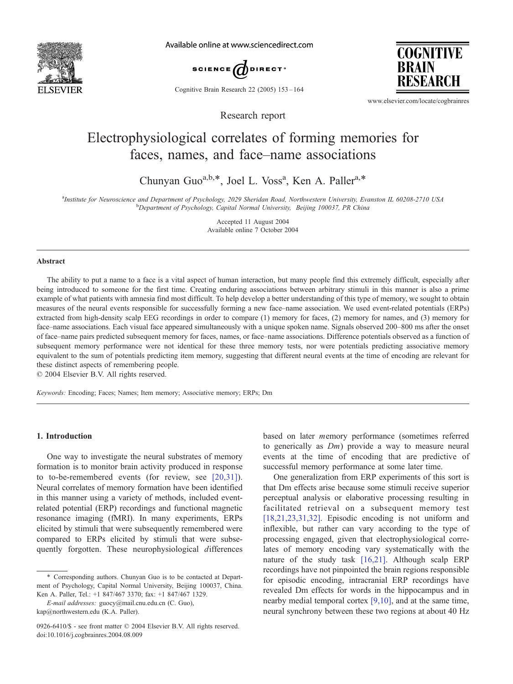

Available online at www.sciencedirect.com



Cognitive Brain Research 22 (2005) 153 – 164

**COGNITIVE BRAIN** RESEARCH

www.elsevier.com/locate/cogbrainres

# Electrophysiological correlates of forming memories for faces, names, and face–name associations

Research report

Chunyan Guo<sup>a,b,\*</sup>, Joel L. Voss<sup>a</sup>, Ken A. Paller<sup>a,\*</sup>

<sup>a</sup>Institute for Neuroscience and Department of Psychology, 2029 Sheridan Road, Northwestern University, Evanston IL 60208-2710 USA<br><sup>b</sup>Danastment of Psychology, Canital Normal University, Beijing 100037, PP China <sup>b</sup>Department of Psychology, Capital Normal University, Beijing 100037, PR China

> Accepted 11 August 2004 Available online 7 October 2004

## Abstract

The ability to put a name to a face is a vital aspect of human interaction, but many people find this extremely difficult, especially after being introduced to someone for the first time. Creating enduring associations between arbitrary stimuli in this manner is also a prime example of what patients with amnesia find most difficult. To help develop a better understanding of this type of memory, we sought to obtain measures of the neural events responsible for successfully forming a new face–name association. We used event-related potentials (ERPs) extracted from high-density scalp EEG recordings in order to compare (1) memory for faces, (2) memory for names, and (3) memory for face–name associations. Each visual face appeared simultaneously with a unique spoken name. Signals observed 200–800 ms after the onset of face–name pairs predicted subsequent memory for faces, names, or face–name associations. Difference potentials observed as a function of subsequent memory performance were not identical for these three memory tests, nor were potentials predicting associative memory equivalent to the sum of potentials predicting item memory, suggesting that different neural events at the time of encoding are relevant for these distinct aspects of remembering people.

 $© 2004 Elsevier B.V. All rights reserved.$ 

Keywords: Encoding; Faces; Names; Item memory; Associative memory; ERPs; Dm

# 1. Introduction

One way to investigate the neural substrates of memory formation is to monitor brain activity produced in response to to-be-remembered events (for review, see [\[20,31\]\)](#page-10-0). Neural correlates of memory formation have been identified in this manner using a variety of methods, included eventrelated potential (ERP) recordings and functional magnetic resonance imaging (fMRI). In many experiments, ERPs elicited by stimuli that were subsequently remembered were compared to ERPs elicited by stimuli that were subsequently forgotten. These neurophysiological differences based on later memory performance (sometimes referred to generically as Dm) provide a way to measure neural events at the time of encoding that are predictive of successful memory performance at some later time.

One generalization from ERP experiments of this sort is that Dm effects arise because some stimuli receive superior perceptual analysis or elaborative processing resulting in facilitated retrieval on a subsequent memory test [\[18,21,23,31,32\].](#page-10-0) Episodic encoding is not uniform and inflexible, but rather can vary according to the type of processing engaged, given that electrophysiological correlates of memory encoding vary systematically with the nature of the study task [\[16,21\].](#page-10-0) Although scalp ERP recordings have not pinpointed the brain regions responsible for episodic encoding, intracranial ERP recordings have revealed Dm effects for words in the hippocampus and in nearby medial temporal cortex [\[9,10\],](#page-10-0) and at the same time, neural synchrony between these two regions at about 40 Hz

<sup>\*</sup> Corresponding authors. Chunyan Guo is to be contacted at Department of Psychology, Capital Normal University, Beijing 100037, China. Ken A. Paller, Tel.: +1 847/467 3370; fax: +1 847/467 1329.

E-mail addresses: guocy@mail.cnu.edu.cn (C. Guo), kap@northwestern.edu (K.A. Paller).

<sup>0926-6410/\$ -</sup> see front matter © 2004 Elsevier B.V. All rights reserved. doi:10.1016/j.cogbrainres.2004.08.009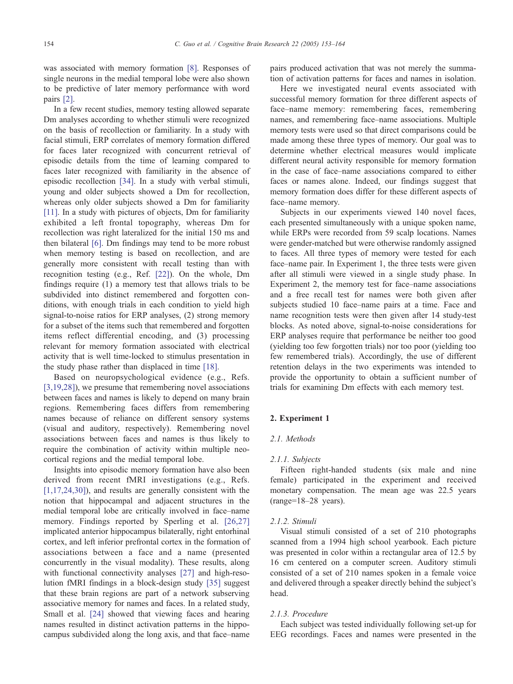was associated with memory formation [\[8\].](#page-10-0) Responses of single neurons in the medial temporal lobe were also shown to be predictive of later memory performance with word pairs [\[2\].](#page-10-0)

In a few recent studies, memory testing allowed separate Dm analyses according to whether stimuli were recognized on the basis of recollection or familiarity. In a study with facial stimuli, ERP correlates of memory formation differed for faces later recognized with concurrent retrieval of episodic details from the time of learning compared to faces later recognized with familiarity in the absence of episodic recollection [\[34\].](#page-11-0) In a study with verbal stimuli, young and older subjects showed a Dm for recollection, whereas only older subjects showed a Dm for familiarity [\[11\].](#page-10-0) In a study with pictures of objects, Dm for familiarity exhibited a left frontal topography, whereas Dm for recollection was right lateralized for the initial 150 ms and then bilateral [\[6\].](#page-10-0) Dm findings may tend to be more robust when memory testing is based on recollection, and are generally more consistent with recall testing than with recognition testing (e.g., Ref. [\[22\]\)](#page-10-0). On the whole, Dm findings require (1) a memory test that allows trials to be subdivided into distinct remembered and forgotten conditions, with enough trials in each condition to yield high signal-to-noise ratios for ERP analyses, (2) strong memory for a subset of the items such that remembered and forgotten items reflect differential encoding, and (3) processing relevant for memory formation associated with electrical activity that is well time-locked to stimulus presentation in the study phase rather than displaced in time [\[18\].](#page-10-0)

Based on neuropsychological evidence (e.g., Refs. [\[3,19,28\]](#page-10-0)), we presume that remembering novel associations between faces and names is likely to depend on many brain regions. Remembering faces differs from remembering names because of reliance on different sensory systems (visual and auditory, respectively). Remembering novel associations between faces and names is thus likely to require the combination of activity within multiple neocortical regions and the medial temporal lobe.

Insights into episodic memory formation have also been derived from recent fMRI investigations (e.g., Refs. [\[1,17,24,30\]\)](#page-10-0), and results are generally consistent with the notion that hippocampal and adjacent structures in the medial temporal lobe are critically involved in face–name memory. Findings reported by Sperling et al. [\[26,27\]](#page-10-0) implicated anterior hippocampus bilaterally, right entorhinal cortex, and left inferior prefrontal cortex in the formation of associations between a face and a name (presented concurrently in the visual modality). These results, along with functional connectivity analyses [\[27\]](#page-10-0) and high-resolution fMRI findings in a block-design study [\[35\]](#page-11-0) suggest that these brain regions are part of a network subserving associative memory for names and faces. In a related study, Small et al. [\[24\]](#page-10-0) showed that viewing faces and hearing names resulted in distinct activation patterns in the hippocampus subdivided along the long axis, and that face–name pairs produced activation that was not merely the summation of activation patterns for faces and names in isolation.

Here we investigated neural events associated with successful memory formation for three different aspects of face–name memory: remembering faces, remembering names, and remembering face–name associations. Multiple memory tests were used so that direct comparisons could be made among these three types of memory. Our goal was to determine whether electrical measures would implicate different neural activity responsible for memory formation in the case of face–name associations compared to either faces or names alone. Indeed, our findings suggest that memory formation does differ for these different aspects of face–name memory.

Subjects in our experiments viewed 140 novel faces, each presented simultaneously with a unique spoken name, while ERPs were recorded from 59 scalp locations. Names were gender-matched but were otherwise randomly assigned to faces. All three types of memory were tested for each face–name pair. In Experiment 1, the three tests were given after all stimuli were viewed in a single study phase. In Experiment 2, the memory test for face–name associations and a free recall test for names were both given after subjects studied 10 face–name pairs at a time. Face and name recognition tests were then given after 14 study-test blocks. As noted above, signal-to-noise considerations for ERP analyses require that performance be neither too good (yielding too few forgotten trials) nor too poor (yielding too few remembered trials). Accordingly, the use of different retention delays in the two experiments was intended to provide the opportunity to obtain a sufficient number of trials for examining Dm effects with each memory test.

#### 2. Experiment 1

#### 2.1. Methods

#### 2.1.1. Subjects

Fifteen right-handed students (six male and nine female) participated in the experiment and received monetary compensation. The mean age was 22.5 years (range=18–28 years).

#### 2.1.2. Stimuli

Visual stimuli consisted of a set of 210 photographs scanned from a 1994 high school yearbook. Each picture was presented in color within a rectangular area of 12.5 by 16 cm centered on a computer screen. Auditory stimuli consisted of a set of 210 names spoken in a female voice and delivered through a speaker directly behind the subject's head.

#### 2.1.3. Procedure

Each subject was tested individually following set-up for EEG recordings. Faces and names were presented in the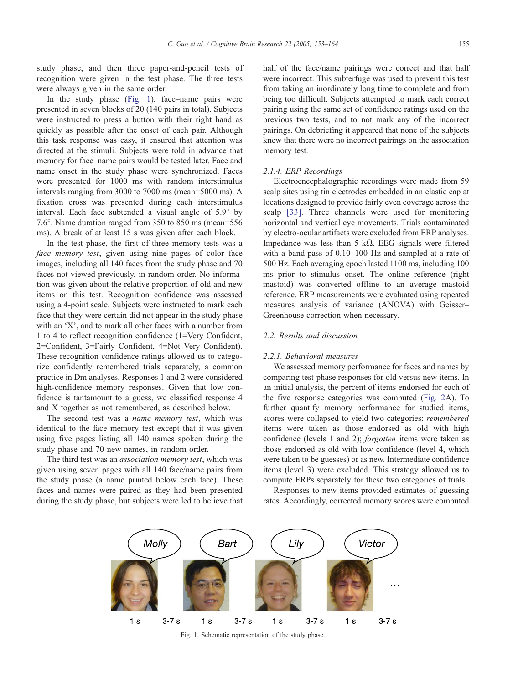study phase, and then three paper-and-pencil tests of recognition were given in the test phase. The three tests were always given in the same order.

In the study phase (Fig. 1), face–name pairs were presented in seven blocks of 20 (140 pairs in total). Subjects were instructed to press a button with their right hand as quickly as possible after the onset of each pair. Although this task response was easy, it ensured that attention was directed at the stimuli. Subjects were told in advance that memory for face–name pairs would be tested later. Face and name onset in the study phase were synchronized. Faces were presented for 1000 ms with random interstimulus intervals ranging from 3000 to 7000 ms (mean=5000 ms). A fixation cross was presented during each interstimulus interval. Each face subtended a visual angle of  $5.9^{\circ}$  by 7.6°. Name duration ranged from 350 to 850 ms (mean=556 ms). A break of at least 15 s was given after each block.

In the test phase, the first of three memory tests was a face memory test, given using nine pages of color face images, including all 140 faces from the study phase and 70 faces not viewed previously, in random order. No information was given about the relative proportion of old and new items on this test. Recognition confidence was assessed using a 4-point scale. Subjects were instructed to mark each face that they were certain did not appear in the study phase with an  $X'$ , and to mark all other faces with a number from 1 to 4 to reflect recognition confidence (1=Very Confident, 2=Confident, 3=Fairly Confident, 4=Not Very Confident). These recognition confidence ratings allowed us to categorize confidently remembered trials separately, a common practice in Dm analyses. Responses 1 and 2 were considered high-confidence memory responses. Given that low confidence is tantamount to a guess, we classified response 4 and X together as not remembered, as described below.

The second test was a *name memory test*, which was identical to the face memory test except that it was given using five pages listing all 140 names spoken during the study phase and 70 new names, in random order.

The third test was an association memory test, which was given using seven pages with all 140 face/name pairs from the study phase (a name printed below each face). These faces and names were paired as they had been presented during the study phase, but subjects were led to believe that half of the face/name pairings were correct and that half were incorrect. This subterfuge was used to prevent this test from taking an inordinately long time to complete and from being too difficult. Subjects attempted to mark each correct pairing using the same set of confidence ratings used on the previous two tests, and to not mark any of the incorrect pairings. On debriefing it appeared that none of the subjects knew that there were no incorrect pairings on the association memory test.

#### 2.1.4. ERP Recordings

Electroencephalographic recordings were made from 59 scalp sites using tin electrodes embedded in an elastic cap at locations designed to provide fairly even coverage across the scalp [\[33\].](#page-11-0) Three channels were used for monitoring horizontal and vertical eye movements. Trials contaminated by electro-ocular artifacts were excluded from ERP analyses. Impedance was less than 5 k $\Omega$ . EEG signals were filtered with a band-pass of 0.10–100 Hz and sampled at a rate of 500 Hz. Each averaging epoch lasted 1100 ms, including 100 ms prior to stimulus onset. The online reference (right mastoid) was converted offline to an average mastoid reference. ERP measurements were evaluated using repeated measures analysis of variance (ANOVA) with Geisser– Greenhouse correction when necessary.

## 2.2. Results and discussion

#### 2.2.1. Behavioral measures

We assessed memory performance for faces and names by comparing test-phase responses for old versus new items. In an initial analysis, the percent of items endorsed for each of the five response categories was computed ([Fig. 2A](#page-3-0)). To further quantify memory performance for studied items, scores were collapsed to yield two categories: remembered items were taken as those endorsed as old with high confidence (levels 1 and 2); forgotten items were taken as those endorsed as old with low confidence (level 4, which were taken to be guesses) or as new. Intermediate confidence items (level 3) were excluded. This strategy allowed us to compute ERPs separately for these two categories of trials.

Responses to new items provided estimates of guessing rates. Accordingly, corrected memory scores were computed



Fig. 1. Schematic representation of the study phase.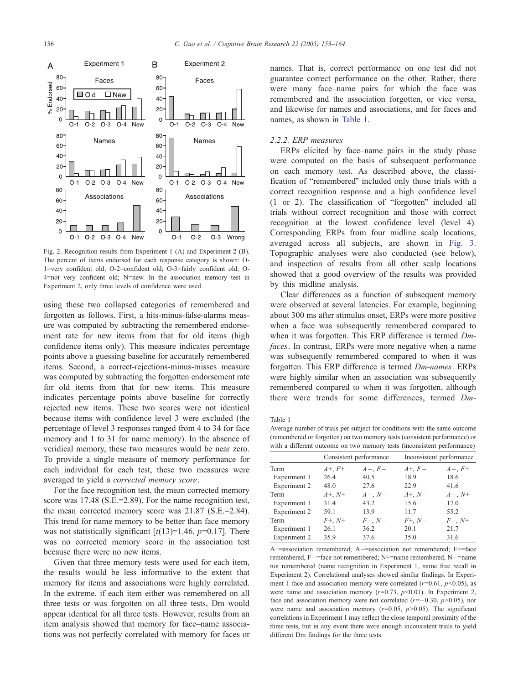<span id="page-3-0"></span>

Fig. 2. Recognition results from Experiment 1 (A) and Experiment 2 (B). The percent of items endorsed for each response category is shown: O-1=very confident old; O-2=confident old; O-3=fairly confident old; O-4=not very confident old; N=new. In the association memory test in Experiment 2, only three levels of confidence were used.

using these two collapsed categories of remembered and forgotten as follows. First, a hits-minus-false-alarms measure was computed by subtracting the remembered endorsement rate for new items from that for old items (high confidence items only). This measure indicates percentage points above a guessing baseline for accurately remembered items. Second, a correct-rejections-minus-misses measure was computed by subtracting the forgotten endorsement rate for old items from that for new items. This measure indicates percentage points above baseline for correctly rejected new items. These two scores were not identical because items with confidence level 3 were excluded (the percentage of level 3 responses ranged from 4 to 34 for face memory and 1 to 31 for name memory). In the absence of veridical memory, these two measures would be near zero. To provide a single measure of memory performance for each individual for each test, these two measures were averaged to yield a corrected memory score.

For the face recognition test, the mean corrected memory score was 17.48 (S.E.=2.89). For the name recognition test, the mean corrected memory score was 21.87 (S.E.=2.84). This trend for name memory to be better than face memory was not statistically significant  $[t(13)=1.46, p=0.17]$ . There was no corrected memory score in the association test because there were no new items.

Given that three memory tests were used for each item, the results would be less informative to the extent that memory for items and associations were highly correlated. In the extreme, if each item either was remembered on all three tests or was forgotten on all three tests, Dm would appear identical for all three tests. However, results from an item analysis showed that memory for face–name associations was not perfectly correlated with memory for faces or names. That is, correct performance on one test did not guarantee correct performance on the other. Rather, there were many face–name pairs for which the face was remembered and the association forgotten, or vice versa, and likewise for names and associations, and for faces and names, as shown in Table 1.

## 2.2.2. ERP measures

ERPs elicited by face–name pairs in the study phase were computed on the basis of subsequent performance on each memory test. As described above, the classification of "remembered" included only those trials with a correct recognition response and a high confidence level  $(1 \text{ or } 2)$ . The classification of "forgotten" included all trials without correct recognition and those with correct recognition at the lowest confidence level (level 4). Corresponding ERPs from four midline scalp locations, averaged across all subjects, are shown in [Fig. 3.](#page-4-0) Topographic analyses were also conducted (see below), and inspection of results from all other scalp locations showed that a good overview of the results was provided by this midline analysis.

Clear differences as a function of subsequent memory were observed at several latencies. For example, beginning about 300 ms after stimulus onset, ERPs were more positive when a face was subsequently remembered compared to when it was forgotten. This ERP difference is termed Dmfaces. In contrast, ERPs were more negative when a name was subsequently remembered compared to when it was forgotten. This ERP difference is termed Dm-names. ERPs were highly similar when an association was subsequently remembered compared to when it was forgotten, although there were trends for some differences, termed Dm-

Table 1

Average number of trials per subject for conditions with the same outcome (remembered or forgotten) on two memory tests (consistent performance) or with a different outcome on two memory tests (inconsistent performance)

|              | Consistent performance |             | Inconsistent performance |             |
|--------------|------------------------|-------------|--------------------------|-------------|
| Term         | $A^+$ , $F^+$          | $A-$ , $F-$ | $A^+, F^-$               | $A-, F+$    |
| Experiment 1 | 26.4                   | 40.5        | 18.9                     | 18.6        |
| Experiment 2 | 48.0                   | 27.6        | 22.9                     | 41.6        |
| Term         | $A^{+}, N^{+}$         | $A-$ , $N-$ | $A^+, N^-$               | $A-$ , $N+$ |
| Experiment 1 | 31.4                   | 43.2        | 15.6                     | 17.0        |
| Experiment 2 | 59.1                   | 13.9        | 117                      | 55.2        |
| Term         | $F^{+}$ , N+           | $F-, N-$    | $F^{+}$ , N-             | $F-, N^+$   |
| Experiment 1 | 26.1                   | 36.2        | 20.1                     | 21.7        |
| Experiment 2 | 35.9                   | 37.6        | 35.0                     | 31.6        |

A+=association remembered; A-=association not remembered; F+=face remembered, F-=face not remembered; N+=name remembered, N-=name not remembered (name recognition in Experiment 1, name free recall in Experiment 2). Correlational analyses showed similar findings. In Experiment 1 face and association memory were correlated ( $r=0.61$ ,  $p<0.05$ ), as were name and association memory ( $r=0.73$ ,  $p<0.01$ ). In Experiment 2, face and association memory were not correlated ( $r=-0.30$ ,  $p>0.05$ ), nor were name and association memory ( $r=0.05$ ,  $p>0.05$ ). The significant correlations in Experiment 1 may reflect the close temporal proximity of the three tests, but in any event there were enough inconsistent trials to yield different Dm findings for the three tests.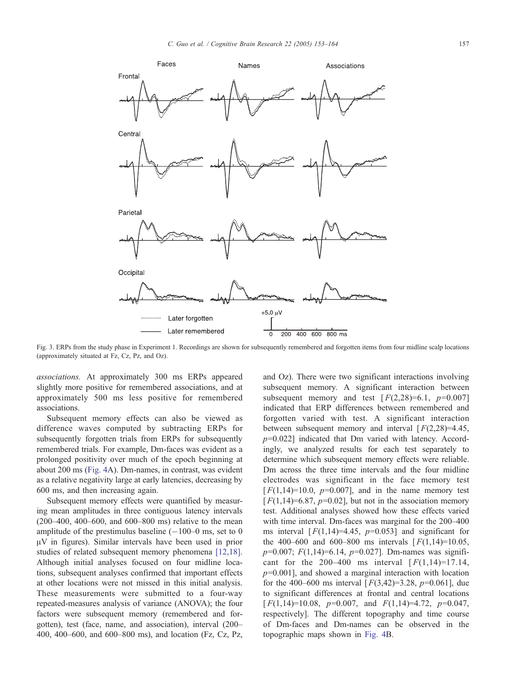<span id="page-4-0"></span>

Fig. 3. ERPs from the study phase in Experiment 1. Recordings are shown for subsequently remembered and forgotten items from four midline scalp locations (approximately situated at Fz, Cz, Pz, and Oz).

associations. At approximately 300 ms ERPs appeared slightly more positive for remembered associations, and at approximately 500 ms less positive for remembered associations.

Subsequent memory effects can also be viewed as difference waves computed by subtracting ERPs for subsequently forgotten trials from ERPs for subsequently remembered trials. For example, Dm-faces was evident as a prolonged positivity over much of the epoch beginning at about 200 ms ([Fig. 4A](#page-5-0)). Dm-names, in contrast, was evident as a relative negativity large at early latencies, decreasing by 600 ms, and then increasing again.

Subsequent memory effects were quantified by measuring mean amplitudes in three contiguous latency intervals (200–400, 400–600, and 600–800 ms) relative to the mean amplitude of the prestimulus baseline  $(-100-0)$  ms, set to 0  $\mu$ V in figures). Similar intervals have been used in prior studies of related subsequent memory phenomena [\[12,18\].](#page-10-0) Although initial analyses focused on four midline locations, subsequent analyses confirmed that important effects at other locations were not missed in this initial analysis. These measurements were submitted to a four-way repeated-measures analysis of variance (ANOVA); the four factors were subsequent memory (remembered and forgotten), test (face, name, and association), interval (200– 400, 400–600, and 600–800 ms), and location (Fz, Cz, Pz,

and Oz). There were two significant interactions involving subsequent memory. A significant interaction between subsequent memory and test  $[F(2,28)=6.1, p=0.007]$ indicated that ERP differences between remembered and forgotten varied with test. A significant interaction between subsequent memory and interval  $[F(2,28)=4.45]$ ,  $p=0.022$ ] indicated that Dm varied with latency. Accordingly, we analyzed results for each test separately to determine which subsequent memory effects were reliable. Dm across the three time intervals and the four midline electrodes was significant in the face memory test  $[F(1,14)=10.0, p=0.007]$ , and in the name memory test  $[F(1,14)=6.87, p=0.02]$ , but not in the association memory test. Additional analyses showed how these effects varied with time interval. Dm-faces was marginal for the 200–400 ms interval  $[F(1,14)=4.45, p=0.053]$  and significant for the 400–600 and 600–800 ms intervals  $[F(1,14)=10.05,$  $p=0.007$ ;  $F(1,14)=6.14$ ,  $p=0.027$ ]. Dm-names was significant for the 200–400 ms interval  $[F(1,14)=17.14,$  $p=0.001$ ], and showed a marginal interaction with location for the 400–600 ms interval  $[F(3,42)=3.28, p=0.061]$ , due to significant differences at frontal and central locations  $[F(1,14)=10.08, p=0.007, \text{ and } F(1,14)=4.72, p=0.047,$ respectively]. The different topography and time course of Dm-faces and Dm-names can be observed in the topographic maps shown in [Fig. 4B](#page-5-0).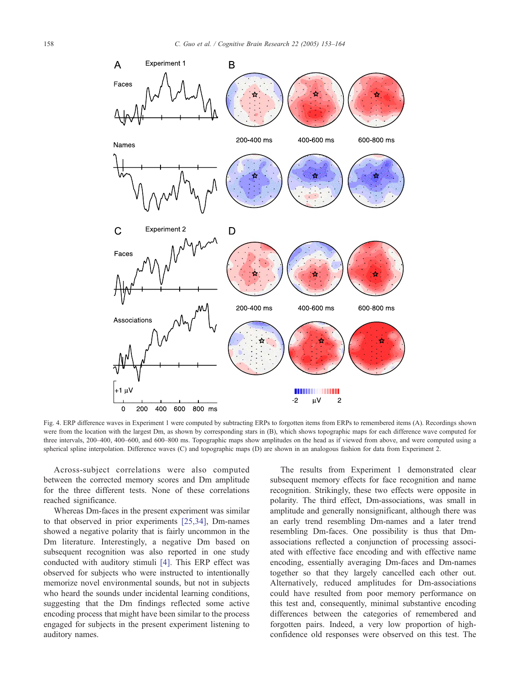<span id="page-5-0"></span>

Fig. 4. ERP difference waves in Experiment 1 were computed by subtracting ERPs to forgotten items from ERPs to remembered items (A). Recordings shown were from the location with the largest Dm, as shown by corresponding stars in (B), which shows topographic maps for each difference wave computed for three intervals, 200–400, 400–600, and 600–800 ms. Topographic maps show amplitudes on the head as if viewed from above, and were computed using a spherical spline interpolation. Difference waves (C) and topographic maps (D) are shown in an analogous fashion for data from Experiment 2.

Across-subject correlations were also computed between the corrected memory scores and Dm amplitude for the three different tests. None of these correlations reached significance.

Whereas Dm-faces in the present experiment was similar to that observed in prior experiments [\[25,34\],](#page-10-0) Dm-names showed a negative polarity that is fairly uncommon in the Dm literature. Interestingly, a negative Dm based on subsequent recognition was also reported in one study conducted with auditory stimuli [\[4\].](#page-10-0) This ERP effect was observed for subjects who were instructed to intentionally memorize novel environmental sounds, but not in subjects who heard the sounds under incidental learning conditions, suggesting that the Dm findings reflected some active encoding process that might have been similar to the process engaged for subjects in the present experiment listening to auditory names.

The results from Experiment 1 demonstrated clear subsequent memory effects for face recognition and name recognition. Strikingly, these two effects were opposite in polarity. The third effect, Dm-associations, was small in amplitude and generally nonsignificant, although there was an early trend resembling Dm-names and a later trend resembling Dm-faces. One possibility is thus that Dmassociations reflected a conjunction of processing associated with effective face encoding and with effective name encoding, essentially averaging Dm-faces and Dm-names together so that they largely cancelled each other out. Alternatively, reduced amplitudes for Dm-associations could have resulted from poor memory performance on this test and, consequently, minimal substantive encoding differences between the categories of remembered and forgotten pairs. Indeed, a very low proportion of highconfidence old responses were observed on this test. The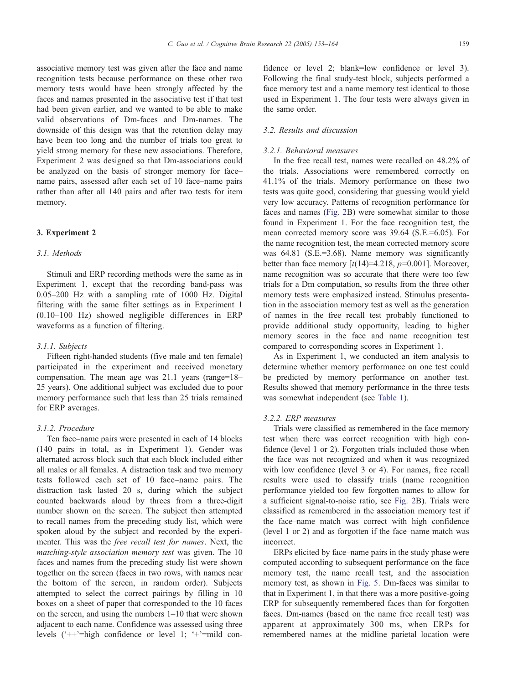associative memory test was given after the face and name recognition tests because performance on these other two memory tests would have been strongly affected by the faces and names presented in the associative test if that test had been given earlier, and we wanted to be able to make valid observations of Dm-faces and Dm-names. The downside of this design was that the retention delay may have been too long and the number of trials too great to yield strong memory for these new associations. Therefore, Experiment 2 was designed so that Dm-associations could be analyzed on the basis of stronger memory for face– name pairs, assessed after each set of 10 face–name pairs rather than after all 140 pairs and after two tests for item memory.

## 3. Experiment 2

### 3.1. Methods

Stimuli and ERP recording methods were the same as in Experiment 1, except that the recording band-pass was 0.05–200 Hz with a sampling rate of 1000 Hz. Digital filtering with the same filter settings as in Experiment 1 (0.10–100 Hz) showed negligible differences in ERP waveforms as a function of filtering.

#### 3.1.1. Subjects

Fifteen right-handed students (five male and ten female) participated in the experiment and received monetary compensation. The mean age was 21.1 years (range=18– 25 years). One additional subject was excluded due to poor memory performance such that less than 25 trials remained for ERP averages.

## 3.1.2. Procedure

Ten face–name pairs were presented in each of 14 blocks (140 pairs in total, as in Experiment 1). Gender was alternated across block such that each block included either all males or all females. A distraction task and two memory tests followed each set of 10 face–name pairs. The distraction task lasted 20 s, during which the subject counted backwards aloud by threes from a three-digit number shown on the screen. The subject then attempted to recall names from the preceding study list, which were spoken aloud by the subject and recorded by the experimenter. This was the free recall test for names. Next, the matching-style association memory test was given. The 10 faces and names from the preceding study list were shown together on the screen (faces in two rows, with names near the bottom of the screen, in random order). Subjects attempted to select the correct pairings by filling in 10 boxes on a sheet of paper that corresponded to the 10 faces on the screen, and using the numbers 1–10 that were shown adjacent to each name. Confidence was assessed using three levels  $($ <sup>++ $)$ =high confidence or level 1;  $+$  $=$ mild con-</sup>

fidence or level 2; blank=low confidence or level 3). Following the final study-test block, subjects performed a face memory test and a name memory test identical to those used in Experiment 1. The four tests were always given in the same order.

# 3.2. Results and discussion

## 3.2.1. Behavioral measures

In the free recall test, names were recalled on 48.2% of the trials. Associations were remembered correctly on 41.1% of the trials. Memory performance on these two tests was quite good, considering that guessing would yield very low accuracy. Patterns of recognition performance for faces and names ([Fig. 2B](#page-3-0)) were somewhat similar to those found in Experiment 1. For the face recognition test, the mean corrected memory score was 39.64 (S.E.=6.05). For the name recognition test, the mean corrected memory score was 64.81 (S.E.=3.68). Name memory was significantly better than face memory  $\lceil t(14)=4.218, p=0.001 \rceil$ . Moreover, name recognition was so accurate that there were too few trials for a Dm computation, so results from the three other memory tests were emphasized instead. Stimulus presentation in the association memory test as well as the generation of names in the free recall test probably functioned to provide additional study opportunity, leading to higher memory scores in the face and name recognition test compared to corresponding scores in Experiment 1.

As in Experiment 1, we conducted an item analysis to determine whether memory performance on one test could be predicted by memory performance on another test. Results showed that memory performance in the three tests was somewhat independent (see [Table 1\)](#page-3-0).

# 3.2.2. ERP measures

Trials were classified as remembered in the face memory test when there was correct recognition with high confidence (level 1 or 2). Forgotten trials included those when the face was not recognized and when it was recognized with low confidence (level 3 or 4). For names, free recall results were used to classify trials (name recognition performance yielded too few forgotten names to allow for a sufficient signal-to-noise ratio, see [Fig. 2B](#page-3-0)). Trials were classified as remembered in the association memory test if the face–name match was correct with high confidence (level 1 or 2) and as forgotten if the face–name match was incorrect.

ERPs elicited by face–name pairs in the study phase were computed according to subsequent performance on the face memory test, the name recall test, and the association memory test, as shown in [Fig. 5.](#page-7-0) Dm-faces was similar to that in Experiment 1, in that there was a more positive-going ERP for subsequently remembered faces than for forgotten faces. Dm-names (based on the name free recall test) was apparent at approximately 300 ms, when ERPs for remembered names at the midline parietal location were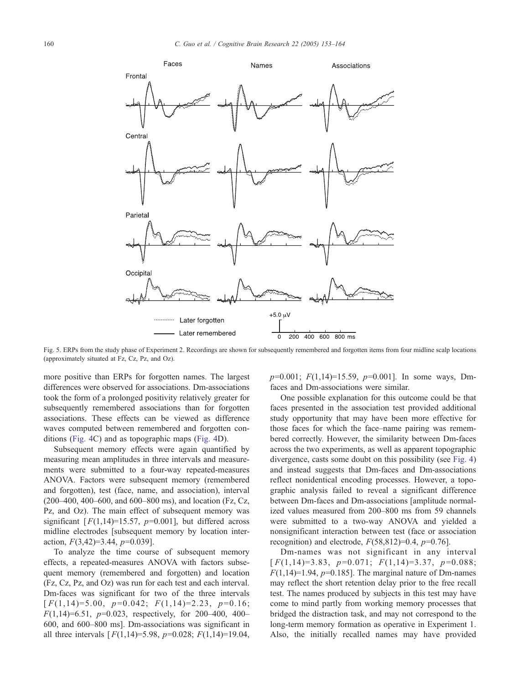<span id="page-7-0"></span>

Fig. 5. ERPs from the study phase of Experiment 2. Recordings are shown for subsequently remembered and forgotten items from four midline scalp locations (approximately situated at Fz, Cz, Pz, and Oz).

more positive than ERPs for forgotten names. The largest differences were observed for associations. Dm-associations took the form of a prolonged positivity relatively greater for subsequently remembered associations than for forgotten associations. These effects can be viewed as difference waves computed between remembered and forgotten conditions [\(Fig. 4C](#page-5-0)) and as topographic maps ([Fig. 4D](#page-5-0)).

Subsequent memory effects were again quantified by measuring mean amplitudes in three intervals and measurements were submitted to a four-way repeated-measures ANOVA. Factors were subsequent memory (remembered and forgotten), test (face, name, and association), interval (200–400, 400–600, and 600–800 ms), and location (Fz, Cz, Pz, and Oz). The main effect of subsequent memory was significant  $[F(1,14)=15.57, p=0.001]$ , but differed across midline electrodes [subsequent memory by location interaction,  $F(3,42)=3.44$ ,  $p=0.039$ ].

To analyze the time course of subsequent memory effects, a repeated-measures ANOVA with factors subsequent memory (remembered and forgotten) and location (Fz, Cz, Pz, and Oz) was run for each test and each interval. Dm-faces was significant for two of the three intervals  $[F(1,14)=5.00, p=0.042; F(1,14)=2.23, p=0.16;$  $F(1,14)=6.51$ ,  $p=0.023$ , respectively, for 200-400, 400-600, and 600–800 ms]. Dm-associations was significant in all three intervals  $[F(1,14)=5.98, p=0.028; F(1,14)=19.04,$   $p=0.001$ ;  $F(1,14)=15.59$ ,  $p=0.001$ ]. In some ways, Dmfaces and Dm-associations were similar.

One possible explanation for this outcome could be that faces presented in the association test provided additional study opportunity that may have been more effective for those faces for which the face–name pairing was remembered correctly. However, the similarity between Dm-faces across the two experiments, as well as apparent topographic divergence, casts some doubt on this possibility (see [Fig. 4\)](#page-5-0) and instead suggests that Dm-faces and Dm-associations reflect nonidentical encoding processes. However, a topographic analysis failed to reveal a significant difference between Dm-faces and Dm-associations [amplitude normalized values measured from 200–800 ms from 59 channels were submitted to a two-way ANOVA and yielded a nonsignificant interaction between test (face or association recognition) and electrode,  $F(58,812)=0.4$ ,  $p=0.76$ .

Dm-names was not significant in any interval  $\lceil F(1,14)=3.83, p=0.071; F(1,14)=3.37, p=0.088;$  $F(1,14)=1.94$ ,  $p=0.185$ ]. The marginal nature of Dm-names may reflect the short retention delay prior to the free recall test. The names produced by subjects in this test may have come to mind partly from working memory processes that bridged the distraction task, and may not correspond to the long-term memory formation as operative in Experiment 1. Also, the initially recalled names may have provided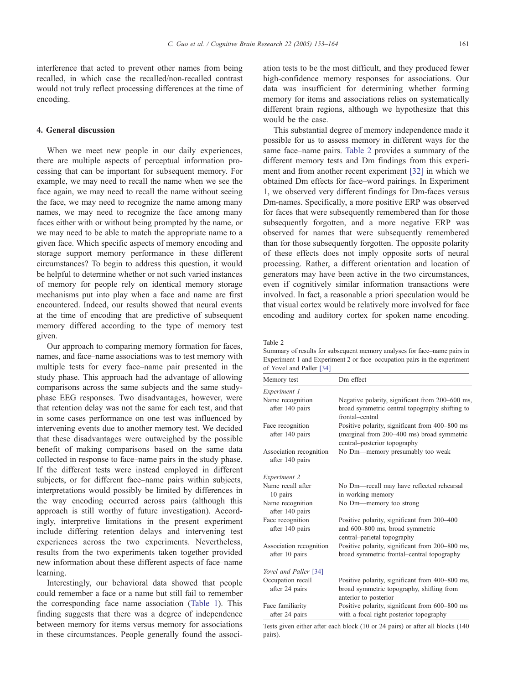<span id="page-8-0"></span>interference that acted to prevent other names from being recalled, in which case the recalled/non-recalled contrast would not truly reflect processing differences at the time of encoding.

## 4. General discussion

When we meet new people in our daily experiences, there are multiple aspects of perceptual information processing that can be important for subsequent memory. For example, we may need to recall the name when we see the face again, we may need to recall the name without seeing the face, we may need to recognize the name among many names, we may need to recognize the face among many faces either with or without being prompted by the name, or we may need to be able to match the appropriate name to a given face. Which specific aspects of memory encoding and storage support memory performance in these different circumstances? To begin to address this question, it would be helpful to determine whether or not such varied instances of memory for people rely on identical memory storage mechanisms put into play when a face and name are first encountered. Indeed, our results showed that neural events at the time of encoding that are predictive of subsequent memory differed according to the type of memory test given.

Our approach to comparing memory formation for faces, names, and face–name associations was to test memory with multiple tests for every face–name pair presented in the study phase. This approach had the advantage of allowing comparisons across the same subjects and the same studyphase EEG responses. Two disadvantages, however, were that retention delay was not the same for each test, and that in some cases performance on one test was influenced by intervening events due to another memory test. We decided that these disadvantages were outweighed by the possible benefit of making comparisons based on the same data collected in response to face–name pairs in the study phase. If the different tests were instead employed in different subjects, or for different face–name pairs within subjects, interpretations would possibly be limited by differences in the way encoding occurred across pairs (although this approach is still worthy of future investigation). Accordingly, interpretive limitations in the present experiment include differing retention delays and intervening test experiences across the two experiments. Nevertheless, results from the two experiments taken together provided new information about these different aspects of face–name learning.

Interestingly, our behavioral data showed that people could remember a face or a name but still fail to remember the corresponding face–name association ([Table 1\)](#page-3-0). This finding suggests that there was a degree of independence between memory for items versus memory for associations in these circumstances. People generally found the association tests to be the most difficult, and they produced fewer high-confidence memory responses for associations. Our data was insufficient for determining whether forming memory for items and associations relies on systematically different brain regions, although we hypothesize that this would be the case.

This substantial degree of memory independence made it possible for us to assess memory in different ways for the same face–name pairs. Table 2 provides a summary of the different memory tests and Dm findings from this experiment and from another recent experiment [\[32\]](#page-10-0) in which we obtained Dm effects for face–word pairings. In Experiment 1, we observed very different findings for Dm-faces versus Dm-names. Specifically, a more positive ERP was observed for faces that were subsequently remembered than for those subsequently forgotten, and a more negative ERP was observed for names that were subsequently remembered than for those subsequently forgotten. The opposite polarity of these effects does not imply opposite sorts of neural processing. Rather, a different orientation and location of generators may have been active in the two circumstances, even if cognitively similar information transactions were involved. In fact, a reasonable a priori speculation would be that visual cortex would be relatively more involved for face encoding and auditory cortex for spoken name encoding.

Table 2

Summary of results for subsequent memory analyses for face–name pairs in Experiment 1 and Experiment 2 or face–occupation pairs in the experiment of Yovel and Paller [\[34\]](#page-11-0)

| Memory test                                | Dm effect                                                                                                                    |  |  |
|--------------------------------------------|------------------------------------------------------------------------------------------------------------------------------|--|--|
| Experiment 1                               |                                                                                                                              |  |  |
| Name recognition<br>after 140 pairs        | Negative polarity, significant from 200–600 ms,<br>broad symmetric central topography shifting to<br>frontal-central         |  |  |
| Face recognition<br>after 140 pairs        | Positive polarity, significant from 400–800 ms<br>(marginal from 200-400 ms) broad symmetric<br>central-posterior topography |  |  |
| Association recognition<br>after 140 pairs | No Dm-memory presumably too weak                                                                                             |  |  |
| Experiment 2                               |                                                                                                                              |  |  |
| Name recall after<br>10 pairs              | No Dm—recall may have reflected rehearsal<br>in working memory                                                               |  |  |
| Name recognition<br>after 140 pairs        | No Dm—memory too strong                                                                                                      |  |  |
| Face recognition<br>after 140 pairs        | Positive polarity, significant from 200–400<br>and 600–800 ms, broad symmetric<br>central-parietal topography                |  |  |
| Association recognition<br>after 10 pairs  | Positive polarity, significant from 200-800 ms,<br>broad symmetric frontal-central topography                                |  |  |
| Yovel and Paller [34]                      |                                                                                                                              |  |  |
| Occupation recall<br>after 24 pairs        | Positive polarity, significant from 400–800 ms,<br>broad symmetric topography, shifting from<br>anterior to posterior        |  |  |
| Face familiarity<br>after 24 pairs         | Positive polarity, significant from 600–800 ms<br>with a focal right posterior topography                                    |  |  |

Tests given either after each block (10 or 24 pairs) or after all blocks (140 pairs).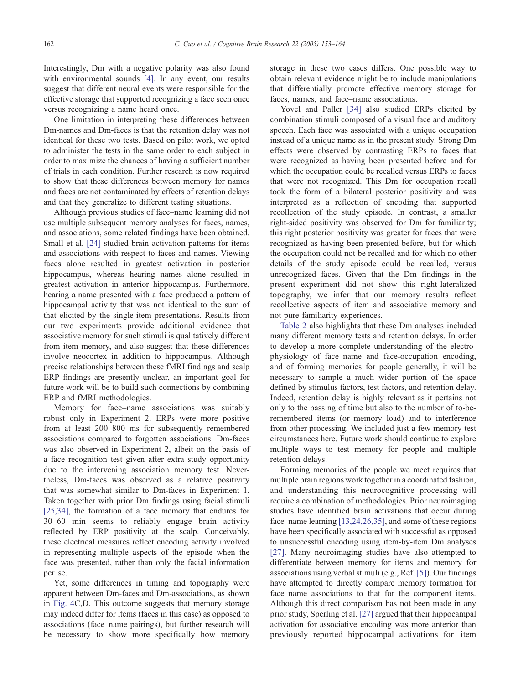Interestingly, Dm with a negative polarity was also found with environmental sounds [\[4\].](#page-10-0) In any event, our results suggest that different neural events were responsible for the effective storage that supported recognizing a face seen once versus recognizing a name heard once.

One limitation in interpreting these differences between Dm-names and Dm-faces is that the retention delay was not identical for these two tests. Based on pilot work, we opted to administer the tests in the same order to each subject in order to maximize the chances of having a sufficient number of trials in each condition. Further research is now required to show that these differences between memory for names and faces are not contaminated by effects of retention delays and that they generalize to different testing situations.

Although previous studies of face–name learning did not use multiple subsequent memory analyses for faces, names, and associations, some related findings have been obtained. Small et al. [\[24\]](#page-10-0) studied brain activation patterns for items and associations with respect to faces and names. Viewing faces alone resulted in greatest activation in posterior hippocampus, whereas hearing names alone resulted in greatest activation in anterior hippocampus. Furthermore, hearing a name presented with a face produced a pattern of hippocampal activity that was not identical to the sum of that elicited by the single-item presentations. Results from our two experiments provide additional evidence that associative memory for such stimuli is qualitatively different from item memory, and also suggest that these differences involve neocortex in addition to hippocampus. Although precise relationships between these fMRI findings and scalp ERP findings are presently unclear, an important goal for future work will be to build such connections by combining ERP and fMRI methodologies.

Memory for face–name associations was suitably robust only in Experiment 2. ERPs were more positive from at least 200–800 ms for subsequently remembered associations compared to forgotten associations. Dm-faces was also observed in Experiment 2, albeit on the basis of a face recognition test given after extra study opportunity due to the intervening association memory test. Nevertheless, Dm-faces was observed as a relative positivity that was somewhat similar to Dm-faces in Experiment 1. Taken together with prior Dm findings using facial stimuli [\[25,34\],](#page-10-0) the formation of a face memory that endures for 30–60 min seems to reliably engage brain activity reflected by ERP positivity at the scalp. Conceivably, these electrical measures reflect encoding activity involved in representing multiple aspects of the episode when the face was presented, rather than only the facial information per se.

Yet, some differences in timing and topography were apparent between Dm-faces and Dm-associations, as shown in [Fig. 4C](#page-5-0),D. This outcome suggests that memory storage may indeed differ for items (faces in this case) as opposed to associations (face–name pairings), but further research will be necessary to show more specifically how memory

storage in these two cases differs. One possible way to obtain relevant evidence might be to include manipulations that differentially promote effective memory storage for faces, names, and face–name associations.

Yovel and Paller [\[34\]](#page-11-0) also studied ERPs elicited by combination stimuli composed of a visual face and auditory speech. Each face was associated with a unique occupation instead of a unique name as in the present study. Strong Dm effects were observed by contrasting ERPs to faces that were recognized as having been presented before and for which the occupation could be recalled versus ERPs to faces that were not recognized. This Dm for occupation recall took the form of a bilateral posterior positivity and was interpreted as a reflection of encoding that supported recollection of the study episode. In contrast, a smaller right-sided positivity was observed for Dm for familiarity; this right posterior positivity was greater for faces that were recognized as having been presented before, but for which the occupation could not be recalled and for which no other details of the study episode could be recalled, versus unrecognized faces. Given that the Dm findings in the present experiment did not show this right-lateralized topography, we infer that our memory results reflect recollective aspects of item and associative memory and not pure familiarity experiences.

[Table 2](#page-8-0) also highlights that these Dm analyses included many different memory tests and retention delays. In order to develop a more complete understanding of the electrophysiology of face–name and face-occupation encoding, and of forming memories for people generally, it will be necessary to sample a much wider portion of the space defined by stimulus factors, test factors, and retention delay. Indeed, retention delay is highly relevant as it pertains not only to the passing of time but also to the number of to-beremembered items (or memory load) and to interference from other processing. We included just a few memory test circumstances here. Future work should continue to explore multiple ways to test memory for people and multiple retention delays.

Forming memories of the people we meet requires that multiple brain regions work together in a coordinated fashion, and understanding this neurocognitive processing will require a combination of methodologies. Prior neuroimaging studies have identified brain activations that occur during face–name learning [\[13,24,26,35\],](#page-10-0) and some of these regions have been specifically associated with successful as opposed to unsuccessful encoding using item-by-item Dm analyses [\[27\].](#page-10-0) Many neuroimaging studies have also attempted to differentiate between memory for items and memory for associations using verbal stimuli (e.g., Ref. [\[5\]\)](#page-10-0). Our findings have attempted to directly compare memory formation for face–name associations to that for the component items. Although this direct comparison has not been made in any prior study, Sperling et al. [\[27\]](#page-10-0) argued that their hippocampal activation for associative encoding was more anterior than previously reported hippocampal activations for item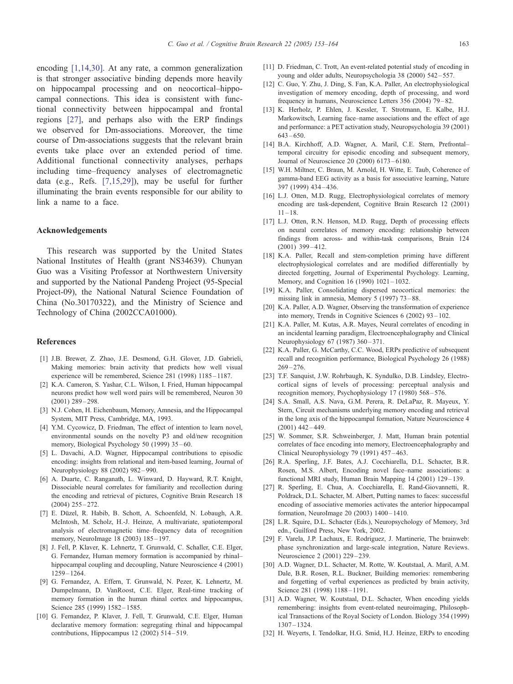<span id="page-10-0"></span>encoding [1,14,30]. At any rate, a common generalization is that stronger associative binding depends more heavily on hippocampal processing and on neocortical–hippocampal connections. This idea is consistent with functional connectivity between hippocampal and frontal regions [27], and perhaps also with the ERP findings we observed for Dm-associations. Moreover, the time course of Dm-associations suggests that the relevant brain events take place over an extended period of time. Additional functional connectivity analyses, perhaps including time–frequency analyses of electromagnetic data (e.g., Refs. [7,15,29]), may be useful for further illuminating the brain events responsible for our ability to link a name to a face.

#### Acknowledgements

This research was supported by the United States National Institutes of Health (grant NS34639). Chunyan Guo was a Visiting Professor at Northwestern University and supported by the National Pandeng Project (95-Special Project-09), the National Natural Science Foundation of China (No.30170322), and the Ministry of Science and Technology of China (2002CCA01000).

#### References

- [1] J.B. Brewer, Z. Zhao, J.E. Desmond, G.H. Glover, J.D. Gabrieli, Making memories: brain activity that predicts how well visual experience will be remembered, Science 281 (1998) 1185-1187.
- [2] K.A. Cameron, S. Yashar, C.L. Wilson, I. Fried, Human hippocampal neurons predict how well word pairs will be remembered, Neuron 30  $(2001)$   $289 - 298$ .
- [3] N.J. Cohen, H. Eichenbaum, Memory, Amnesia, and the Hippocampal System, MIT Press, Cambridge, MA, 1993.
- [4] Y.M. Cycowicz, D. Friedman, The effect of intention to learn novel, environmental sounds on the novelty P3 and old/new recognition memory, Biological Psychology 50 (1999) 35 – 60.
- [5] L. Davachi, A.D. Wagner, Hippocampal contributions to episodic encoding: insights from relational and item-based learning, Journal of Neurophysiology 88 (2002) 982 – 990.
- [6] A. Duarte, C. Ranganath, L. Winward, D. Hayward, R.T. Knight, Dissociable neural correlates for familiarity and recollection during the encoding and retrieval of pictures, Cognitive Brain Research 18  $(2004)$  255 – 272.
- [7] E. Düzel, R. Habib, B. Schott, A. Schoenfeld, N. Lobaugh, A.R. McIntosh, M. Scholz, H.-J. Heinze, A multivariate, spatiotemporal analysis of electromagnetic time–frequency data of recognition memory, NeuroImage 18 (2003) 185-197.
- [8] J. Fell, P. Klaver, K. Lehnertz, T. Grunwald, C. Schaller, C.E. Elger, G. Fernandez, Human memory formation is accompanied by rhinal– hippocampal coupling and decoupling, Nature Neuroscience 4 (2001) 1259 – 1264.
- [9] G. Fernandez, A. Effern, T. Grunwald, N. Pezer, K. Lehnertz, M. Dumpelmann, D. VanRoost, C.E. Elger, Real-time tracking of memory formation in the human rhinal cortex and hippocampus, Science 285 (1999) 1582-1585.
- [10] G. Fernandez, P. Klaver, J. Fell, T. Grunwald, C.E. Elger, Human declarative memory formation: segregating rhinal and hippocampal contributions, Hippocampus 12 (2002) 514 – 519.
- [11] D. Friedman, C. Trott, An event-related potential study of encoding in young and older adults, Neuropsychologia 38 (2000) 542 – 557.
- [12] C. Guo, Y. Zhu, J. Ding, S. Fan, K.A. Paller, An electrophysiological investigation of memory encoding, depth of processing, and word frequency in humans, Neuroscience Letters 356 (2004) 79 – 82.
- [13] K. Herholz, P. Ehlen, J. Kessler, T. Strotmann, E. Kalbe, H.J. Markowitsch, Learning face–name associations and the effect of age and performance: a PET activation study, Neuropsychologia 39 (2001)  $643 - 650$
- [14] B.A. Kirchhoff, A.D. Wagner, A. Maril, C.E. Stern, Prefrontal– temporal circuitry for episodic encoding and subsequent memory, Journal of Neuroscience 20 (2000) 6173 – 6180.
- [15] W.H. Miltner, C. Braun, M. Arnold, H. Witte, E. Taub, Coherence of gamma-band EEG activity as a basis for associative learning, Nature 397 (1999) 434 – 436.
- [16] L.J. Otten, M.D. Rugg, Electrophysiological correlates of memory encoding are task-dependent, Cognitive Brain Research 12 (2001)  $11 - 18$
- [17] L.J. Otten, R.N. Henson, M.D. Rugg, Depth of processing effects on neural correlates of memory encoding: relationship between findings from across- and within-task comparisons, Brain 124 (2001) 399 – 412.
- [18] K.A. Paller, Recall and stem-completion priming have different electrophysiological correlates and are modified differentially by directed forgetting, Journal of Experimental Psychology. Learning, Memory, and Cognition 16 (1990) 1021 – 1032.
- [19] K.A. Paller, Consolidating dispersed neocortical memories: the missing link in amnesia, Memory 5 (1997) 73 – 88.
- [20] K.A. Paller, A.D. Wagner, Observing the transformation of experience into memory, Trends in Cognitive Sciences 6 (2002) 93 – 102.
- [21] K.A. Paller, M. Kutas, A.R. Mayes, Neural correlates of encoding in an incidental learning paradigm, Electroencephalography and Clinical Neurophysiology 67 (1987) 360-371.
- [22] K.A. Paller, G. McCarthy, C.C. Wood, ERPs predictive of subsequent recall and recognition performance, Biological Psychology 26 (1988)  $269 - 276$
- [23] T.F. Sanquist, J.W. Rohrbaugh, K. Syndulko, D.B. Lindsley, Electrocortical signs of levels of processing: perceptual analysis and recognition memory, Psychophysiology 17 (1980) 568-576.
- [24] S.A. Small, A.S. Nava, G.M. Perera, R. DeLaPaz, R. Mayeux, Y. Stern, Circuit mechanisms underlying memory encoding and retrieval in the long axis of the hippocampal formation, Nature Neuroscience 4  $(2001)$  442 – 449.
- [25] W. Sommer, S.R. Schweinberger, J. Matt, Human brain potential correlates of face encoding into memory, Electroencephalography and Clinical Neurophysiology 79 (1991) 457-463.
- [26] R.A. Sperling, J.F. Bates, A.J. Cocchiarella, D.L. Schacter, B.R. Rosen, M.S. Albert, Encoding novel face–name associations: a functional MRI study, Human Brain Mapping 14 (2001) 129-139.
- [27] R. Sperling, E. Chua, A. Cocchiarella, E. Rand-Giovannetti, R. Poldrack, D.L. Schacter, M. Albert, Putting names to faces: successful encoding of associative memories activates the anterior hippocampal formation, NeuroImage 20 (2003) 1400 – 1410.
- [28] L.R. Squire, D.L. Schacter (Eds.), Neuropsychology of Memory, 3rd edn., Guilford Press, New York, 2002.
- [29] F. Varela, J.P. Lachaux, E. Rodriguez, J. Martinerie, The brainweb: phase synchronization and large-scale integration, Nature Reviews. Neuroscience 2 (2001) 229 – 239.
- [30] A.D. Wagner, D.L. Schacter, M. Rotte, W. Koutstaal, A. Maril, A.M. Dale, B.R. Rosen, R.L. Buckner, Building memories: remembering and forgetting of verbal experiences as predicted by brain activity, Science 281 (1998) 1188-1191.
- [31] A.D. Wagner, W. Koutstaal, D.L. Schacter, When encoding yields remembering: insights from event-related neuroimaging, Philosophical Transactions of the Royal Society of London. Biology 354 (1999) 1307 – 1324.
- [32] H. Weyerts, I. Tendolkar, H.G. Smid, H.J. Heinze, ERPs to encoding